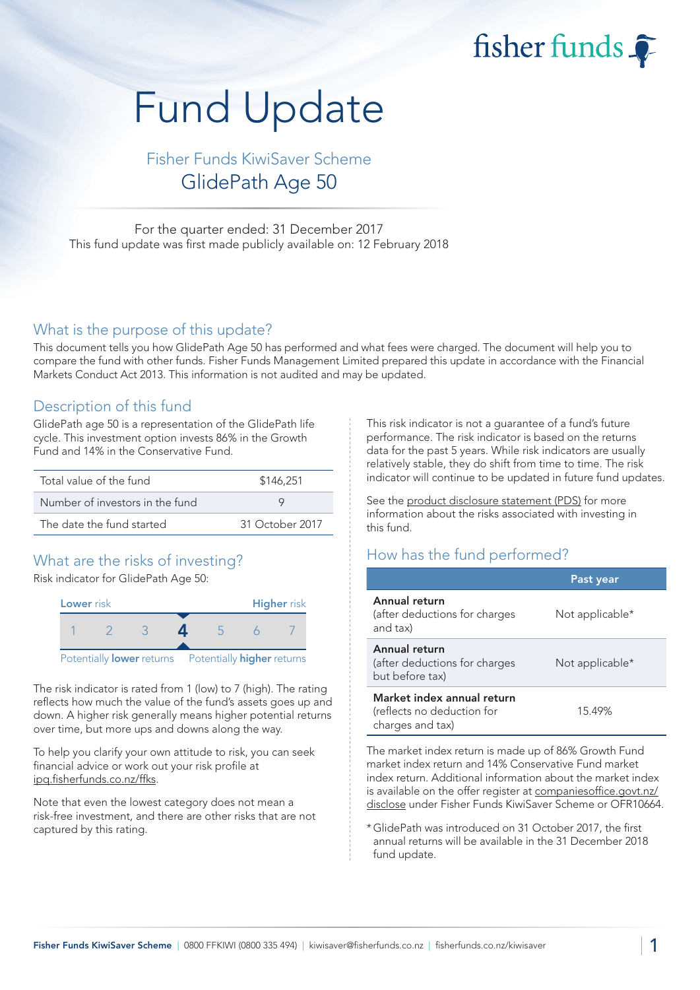fisher funds

# Fund Update

# Fisher Funds KiwiSaver Scheme GlidePath Age 50

For the quarter ended: 31 December 2017 This fund update was first made publicly available on: 12 February 2018

## What is the purpose of this update?

This document tells you how GlidePath Age 50 has performed and what fees were charged. The document will help you to compare the fund with other funds. Fisher Funds Management Limited prepared this update in accordance with the Financial Markets Conduct Act 2013. This information is not audited and may be updated.

## Description of this fund

GlidePath age 50 is a representation of the GlidePath life cycle. This investment option invests 86% in the Growth Fund and 14% in the Conservative Fund.

| Total value of the fund         | \$146,251       |  |  |
|---------------------------------|-----------------|--|--|
| Number of investors in the fund |                 |  |  |
| The date the fund started       | 31 October 2017 |  |  |

## What are the risks of investing?

Risk indicator for GlidePath Age 50:



The risk indicator is rated from 1 (low) to 7 (high). The rating reflects how much the value of the fund's assets goes up and down. A higher risk generally means higher potential returns over time, but more ups and downs along the way.

To help you clarify your own attitude to risk, you can seek financial advice or work out your risk profile at ipq.fisherfunds.co.nz/ffks.

Note that even the lowest category does not mean a risk-free investment, and there are other risks that are not captured by this rating.

This risk indicator is not a guarantee of a fund's future performance. The risk indicator is based on the returns data for the past 5 years. While risk indicators are usually relatively stable, they do shift from time to time. The risk indicator will continue to be updated in future fund updates.

See the product disclosure statement (PDS) for more information about the risks associated with investing in this fund.

## How has the fund performed?

|                                                                              | Past year       |
|------------------------------------------------------------------------------|-----------------|
| Annual return<br>(after deductions for charges<br>and tax)                   | Not applicable* |
| Annual return<br>(after deductions for charges<br>but before tax)            | Not applicable* |
| Market index annual return<br>(reflects no deduction for<br>charges and tax) | 15.49%          |

The market index return is made up of 86% Growth Fund market index return and 14% Conservative Fund market index return. Additional information about the market index is available on the offer register at companiesoffice.govt.nz/ disclose under Fisher Funds KiwiSaver Scheme or OFR10664.

\*GlidePath was introduced on 31 October 2017, the first annual returns will be available in the 31 December 2018 fund update.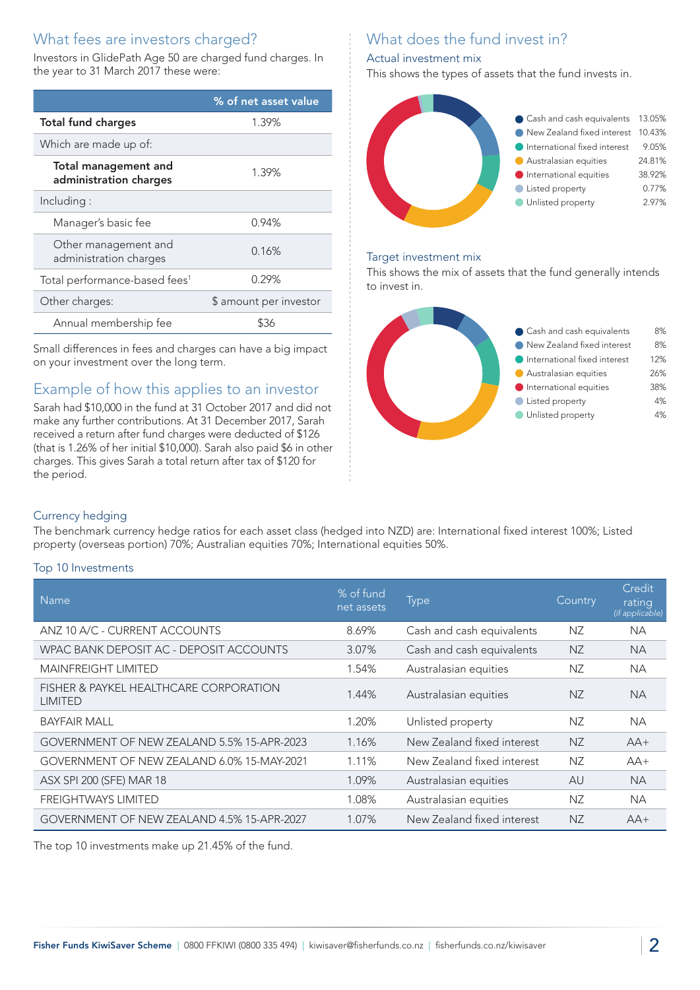# What fees are investors charged?

Investors in GlidePath Age 50 are charged fund charges. In the year to 31 March 2017 these were:

|                                                       | % of net asset value   |  |
|-------------------------------------------------------|------------------------|--|
| <b>Total fund charges</b>                             | 1.39%                  |  |
| Which are made up of:                                 |                        |  |
| <b>Total management and</b><br>administration charges | 1.39%                  |  |
| Including:                                            |                        |  |
| Manager's basic fee                                   | 0.94%                  |  |
| Other management and<br>administration charges        | 0.16%                  |  |
| Total performance-based fees <sup>1</sup>             | 0.29%                  |  |
| Other charges:                                        | \$ amount per investor |  |
| Annual membership fee                                 | \$36                   |  |

Small differences in fees and charges can have a big impact on your investment over the long term.

## Example of how this applies to an investor

Sarah had \$10,000 in the fund at 31 October 2017 and did not make any further contributions. At 31 December 2017, Sarah received a return after fund charges were deducted of \$126 (that is 1.26% of her initial \$10,000). Sarah also paid \$6 in other charges. This gives Sarah a total return after tax of \$120 for the period.

# What does the fund invest in?

#### Actual investment mix

This shows the types of assets that the fund invests in.



#### Target investment mix

This shows the mix of assets that the fund generally intends to invest in.



#### Currency hedging

The benchmark currency hedge ratios for each asset class (hedged into NZD) are: International fixed interest 100%; Listed property (overseas portion) 70%; Australian equities 70%; International equities 50%.

#### Top 10 Investments

| <b>Name</b>                                              | % of fund<br>net assets | <b>Type</b>                | Country   | Credit<br>rating<br>(if applicable) |
|----------------------------------------------------------|-------------------------|----------------------------|-----------|-------------------------------------|
| ANZ 10 A/C - CURRENT ACCOUNTS                            | 8.69%                   | Cash and cash equivalents  | NZ        | <b>NA</b>                           |
| WPAC BANK DEPOSIT AC - DEPOSIT ACCOUNTS                  | 3.07%                   | Cash and cash equivalents  | <b>NZ</b> | <b>NA</b>                           |
| <b>MAINFREIGHT LIMITED</b>                               | 1.54%                   | Australasian equities      | NZ        | <b>NA</b>                           |
| FISHER & PAYKEL HEALTHCARE CORPORATION<br><b>LIMITED</b> | 1.44%                   | Australasian equities      | <b>NZ</b> | <b>NA</b>                           |
| <b>BAYFAIR MALL</b>                                      | 1.20%                   | Unlisted property          | NZ        | <b>NA</b>                           |
| GOVERNMENT OF NEW ZEALAND 5.5% 15-APR-2023               | 1.16%                   | New Zealand fixed interest | <b>NZ</b> | $AA+$                               |
| GOVERNMENT OF NEW ZEALAND 6.0% 15-MAY-2021               | 1.11%                   | New Zealand fixed interest | NZ        | $AA+$                               |
| ASX SPI 200 (SFE) MAR 18                                 | 1.09%                   | Australasian equities      | AU        | <b>NA</b>                           |
| <b>FREIGHTWAYS LIMITED</b>                               | 1.08%                   | Australasian equities      | NZ        | <b>NA</b>                           |
| GOVERNMENT OF NEW ZEALAND 4.5% 15-APR-2027               | 1.07%                   | New Zealand fixed interest | <b>NZ</b> | $AA+$                               |

The top 10 investments make up 21.45% of the fund.